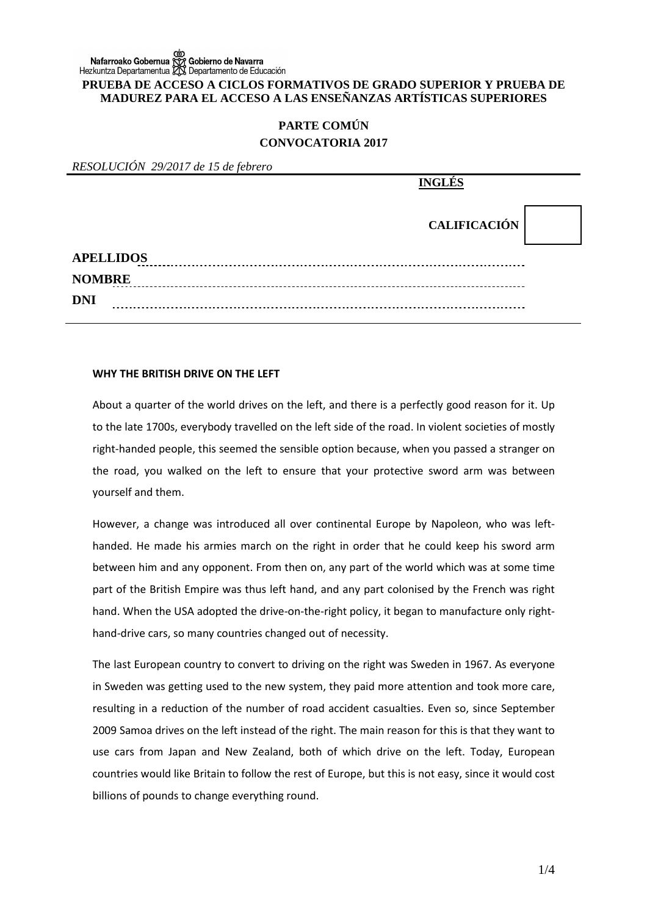# ob chierno de Navarra<br>Nafarroako Gobernua గ్రోర్లో Gobierno de Navarra<br>Hezkuntza Departamentua داريج Departamento de Educación **PRUEBA DE ACCESO A CICLOS FORMATIVOS DE GRADO SUPERIOR Y PRUEBA DE MADUREZ PARA EL ACCESO A LAS ENSEÑANZAS ARTÍSTICAS SUPERIORES**

# **PARTE COMÚN CONVOCATORIA 2017**

*RESOLUCIÓN 29/2017 de 15 de febrero* 

|                  | <b>INGLÉS</b>       |  |
|------------------|---------------------|--|
|                  | <b>CALIFICACIÓN</b> |  |
| <b>APELLIDOS</b> |                     |  |
| <b>NOMBRE</b>    |                     |  |
| <b>DNI</b>       |                     |  |

### **WHY THE BRITISH DRIVE ON THE LEFT**

About a quarter of the world drives on the left, and there is a perfectly good reason for it. Up to the late 1700s, everybody travelled on the left side of the road. In violent societies of mostly right-handed people, this seemed the sensible option because, when you passed a stranger on the road, you walked on the left to ensure that your protective sword arm was between yourself and them.

However, a change was introduced all over continental Europe by Napoleon, who was lefthanded. He made his armies march on the right in order that he could keep his sword arm between him and any opponent. From then on, any part of the world which was at some time part of the British Empire was thus left hand, and any part colonised by the French was right hand. When the USA adopted the drive-on-the-right policy, it began to manufacture only righthand-drive cars, so many countries changed out of necessity.

The last European country to convert to driving on the right was Sweden in 1967. As everyone in Sweden was getting used to the new system, they paid more attention and took more care, resulting in a reduction of the number of road accident casualties. Even so, since September 2009 Samoa drives on the left instead of the right. The main reason for this is that they want to use cars from Japan and New Zealand, both of which drive on the left. Today, European countries would like Britain to follow the rest of Europe, but this is not easy, since it would cost billions of pounds to change everything round.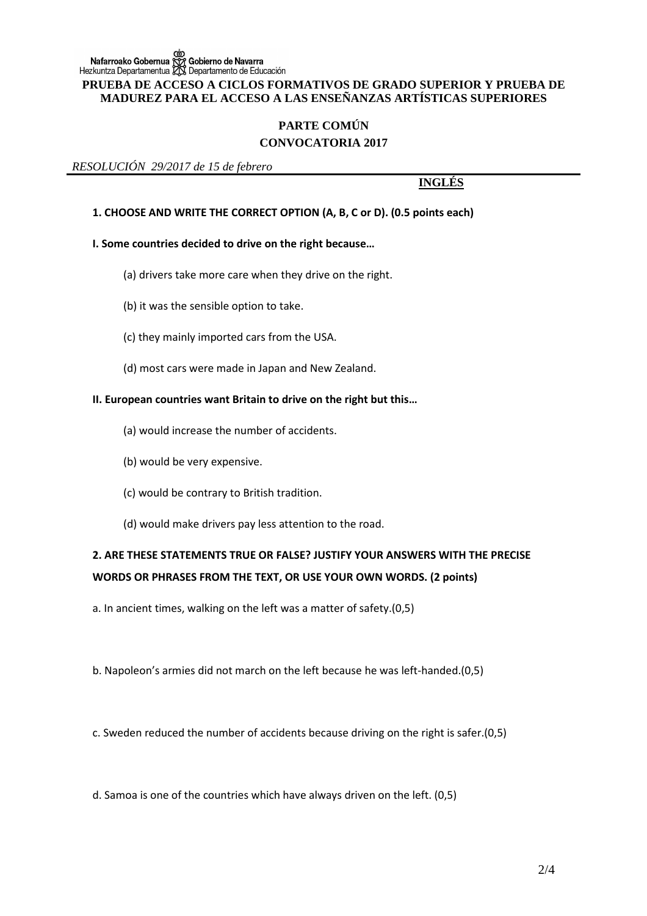#### **PRUEBA DE ACCESO A CICLOS FORMATIVOS DE GRADO SUPERIOR Y PRUEBA DE MADUREZ PARA EL ACCESO A LAS ENSEÑANZAS ARTÍSTICAS SUPERIORES**

# **PARTE COMÚN CONVOCATORIA 2017**

*RESOLUCIÓN 29/2017 de 15 de febrero* 

### **INGLÉS**

### **1. CHOOSE AND WRITE THE CORRECT OPTION (A, B, C or D). (0.5 points each)**

### **I. Some countries decided to drive on the right because…**

- (a) drivers take more care when they drive on the right.
- (b) it was the sensible option to take.
- (c) they mainly imported cars from the USA.
- (d) most cars were made in Japan and New Zealand.

#### **II. European countries want Britain to drive on the right but this…**

- (a) would increase the number of accidents.
- (b) would be very expensive.
- (c) would be contrary to British tradition.
- (d) would make drivers pay less attention to the road.

# **2. ARE THESE STATEMENTS TRUE OR FALSE? JUSTIFY YOUR ANSWERS WITH THE PRECISE WORDS OR PHRASES FROM THE TEXT, OR USE YOUR OWN WORDS. (2 points)**

a. In ancient times, walking on the left was a matter of safety.(0,5)

b. Napoleon's armies did not march on the left because he was left-handed.(0,5)

c. Sweden reduced the number of accidents because driving on the right is safer.(0,5)

d. Samoa is one of the countries which have always driven on the left. (0,5)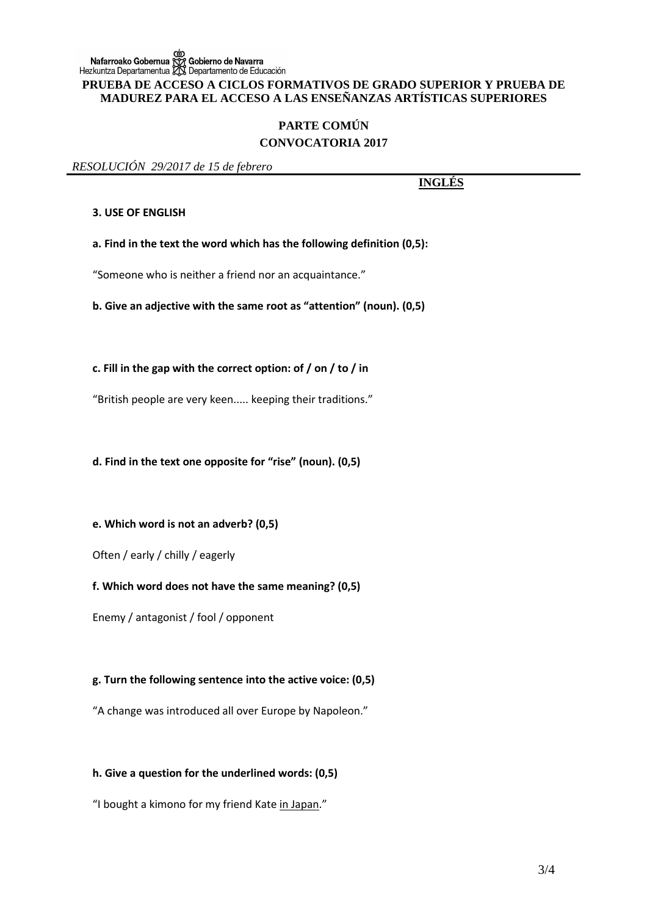## **PARTE COMÚN CONVOCATORIA 2017**

#### *RESOLUCIÓN 29/2017 de 15 de febrero*

**INGLÉS**

#### **3. USE OF ENGLISH**

**a. Find in the text the word which has the following definition (0,5):** 

"Someone who is neither a friend nor an acquaintance."

**b. Give an adjective with the same root as "attention" (noun). (0,5)**

**c. Fill in the gap with the correct option: of / on / to / in**

"British people are very keen..... keeping their traditions."

**d. Find in the text one opposite for "rise" (noun). (0,5)**

**e. Which word is not an adverb? (0,5)**

Often / early / chilly / eagerly

**f. Which word does not have the same meaning? (0,5)**

Enemy / antagonist / fool / opponent

### **g. Turn the following sentence into the active voice: (0,5)**

"A change was introduced all over Europe by Napoleon."

### **h. Give a question for the underlined words: (0,5)**

"I bought a kimono for my friend Kate in Japan."